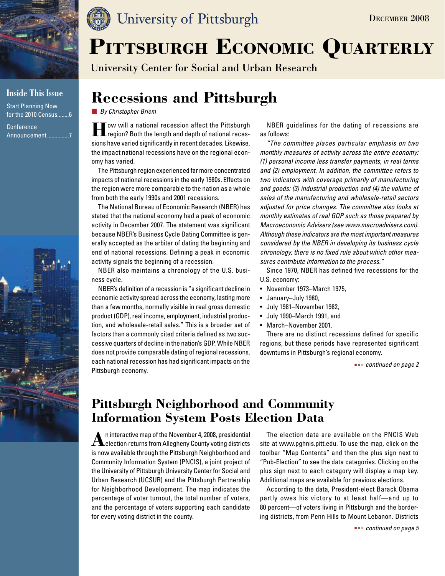

### **Inside This Issue**

Start Planning Now for the 2010 Census........6 Conference

Announcement...............7





# PITTSBURGH ECONOMIC QUARTERLY

University Center for Social and Urban Research

# **Recessions and Pittsburgh**

*By Christopher Briem*

**How will a national recession affect the Pittsburgh region?** Both the length and depth of national recessions have varied significantly in recent decades. Likewise, the impact national recessions have on the regional economy has varied.

The Pittsburgh region experienced far more concentrated impacts of national recessions in the early 1980s. Effects on the region were more comparable to the nation as a whole from both the early 1990s and 2001 recessions.

The National Bureau of Economic Research (NBER) has stated that the national economy had a peak of economic activity in December 2007. The statement was significant because NBER's Business Cycle Dating Committee is generally accepted as the arbiter of dating the beginning and end of national recessions. Defining a peak in economic activity signals the beginning of a recession.

NBER also maintains a chronology of the U.S. business cycle.

NBER's definition of a recession is "a significant decline in economic activity spread across the economy, lasting more than a few months, normally visible in real gross domestic product (GDP), real income, employment, industrial production, and wholesale-retail sales." This is a broader set of factors than a commonly cited criteria defined as two successive quarters of decline in the nation's GDP. While NBER does not provide comparable dating of regional recessions, each national recession has had significant impacts on the Pittsburgh economy.

NBER guidelines for the dating of recessions are as follows:

*"The committee places particular emphasis on two monthly measures of activity across the entire economy: (1) personal income less transfer payments, in real terms and (2) employment. In addition, the committee refers to two indicators with coverage primarily of manufacturing and goods: (3) industrial production and (4) the volume of sales of the manufacturing and wholesale-retail sectors adjusted for price changes. The committee also looks at monthly estimates of real GDP such as those prepared by Macroeconomic Advisers (see www.macroadvisers.com). Although these indicators are the most important measures considered by the NBER in developing its business cycle chronology, there is no fixed rule about which other measures contribute information to the process."*

Since 1970, NBER has defined five recessions for the U.S. economy:

- • November 1973–March 1975,
- • January–July 1980,
- • July 1981–November 1982,
- • July 1990–March 1991, and
- • March–November 2001.

There are no distinct recessions defined for specific regions, but these periods have represented significant downturns in Pittsburgh's regional economy.

 *continued on page 2*

December 2008

# **Pittsburgh Neighborhood and Community Information System Posts Election Data**

**A**n interactive map of the November 4, 2008, presidential<br>**election returns from Allegheny County voting districts** is now available through the Pittsburgh Neighborhood and Community Information System (PNCIS), a joint project of the University of Pittsburgh University Center for Social and Urban Research (UCSUR) and the Pittsburgh Partnership for Neighborhood Development. The map indicates the percentage of voter turnout, the total number of voters, and the percentage of voters supporting each candidate for every voting district in the county.

The election data are available on the PNCIS Web site at www.pghnis.pitt.edu. To use the map, click on the toolbar "Map Contents" and then the plus sign next to "Pub-Election" to see the data categories. Clicking on the plus sign next to each category will display a map key. Additional maps are available for previous elections.

According to the data, President-elect Barack Obama partly owes his victory to at least half—and up to 80 percent—of voters living in Pittsburgh and the bordering districts, from Penn Hills to Mount Lebanon. Districts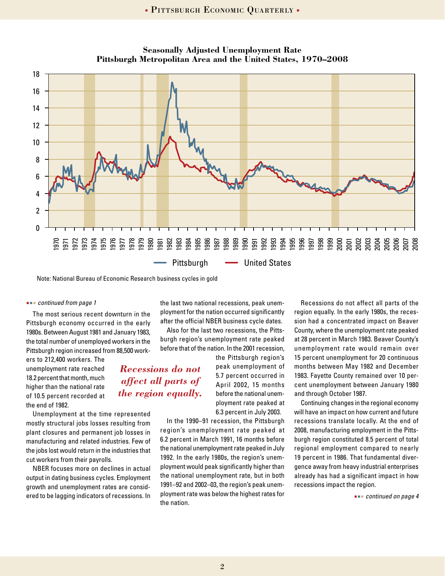

**Seasonally Adjusted Unemployment Rate Pittsburgh Metropolitan Area and the United States, 1970–2008**

Note: National Bureau of Economic Research business cycles in gold

#### *continued from page 1*

The most serious recent downturn in the Pittsburgh economy occurred in the early 1980s. Between August 1981 and January 1983, the total number of unemployed workers in the Pittsburgh region increased from 88,500 work-

ers to 212,400 workers. The unemployment rate reached 18.2 percent that month, much higher than the national rate of 10.5 percent recorded at the end of 1982.

Unemployment at the time represented mostly structural jobs losses resulting from plant closures and permanent job losses in manufacturing and related industries. Few of the jobs lost would return in the industries that cut workers from their payrolls.

NBER focuses more on declines in actual output in dating business cycles. Employment growth and unemployment rates are considered to be lagging indicators of recessions. In

the last two national recessions, peak unemployment for the nation occurred significantly after the official NBER business cycle dates.

Also for the last two recessions, the Pittsburgh region's unemployment rate peaked before that of the nation. In the 2001 recession,

*Recessions do not affect all parts of the region equally.*

the Pittsburgh region's peak unemployment of 5.7 percent occurred in April 2002, 15 months before the national unemployment rate peaked at 6.3 percent in July 2003.

In the 1990–91 recession, the Pittsburgh region's unemployment rate peaked at 6.2 percent in March 1991, 16 months before the national unemployment rate peaked in July 1992. In the early 1980s, the region's unemployment would peak significantly higher than the national unemployment rate, but in both 1991–92 and 2002–03, the region's peak unemployment rate was below the highest rates for the nation.

Recessions do not affect all parts of the region equally. In the early 1980s, the recession had a concentrated impact on Beaver County, where the unemployment rate peaked at 28 percent in March 1983. Beaver County's unemployment rate would remain over 15 percent unemployment for 20 continuous months between May 1982 and December 1983. Fayette County remained over 10 percent unemployment between January 1980 and through October 1987.

Continuing changes in the regional economy will have an impact on how current and future recessions translate locally. At the end of 2008, manufacturing employment in the Pittsburgh region constituted 8.5 percent of total regional employment compared to nearly 19 percent in 1986. That fundamental divergence away from heavy industrial enterprises already has had a significant impact in how recessions impact the region.

 *continued on page 4*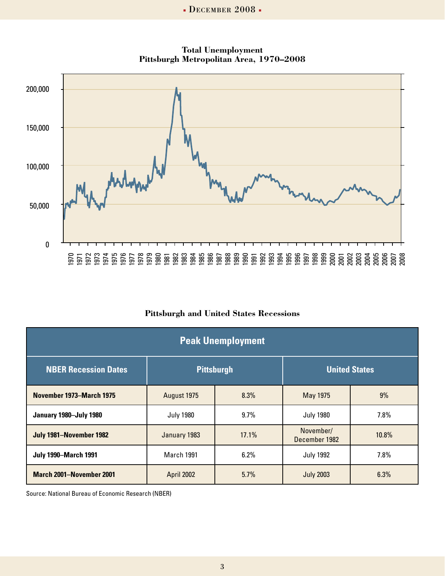

**Total Unemployment Pittsburgh Metropolitan Area, 1970–2008**

### **Pittsburgh and United States Recessions**

| <b>Peak Unemployment</b>        |                   |       |                            |       |  |
|---------------------------------|-------------------|-------|----------------------------|-------|--|
| <b>NBER Recession Dates</b>     | <b>Pittsburgh</b> |       | <b>United States</b>       |       |  |
| November 1973–March 1975        | August 1975       | 8.3%  | May 1975                   | 9%    |  |
| January 1980-July 1980          | <b>July 1980</b>  | 9.7%  | <b>July 1980</b>           | 7.8%  |  |
| July 1981-November 1982         | January 1983      | 17.1% | November/<br>December 1982 | 10.8% |  |
| <b>July 1990-March 1991</b>     | <b>March 1991</b> | 6.2%  | <b>July 1992</b>           | 7.8%  |  |
| <b>March 2001-November 2001</b> | April 2002        | 5.7%  | <b>July 2003</b>           | 6.3%  |  |

Source: National Bureau of Economic Research (NBER)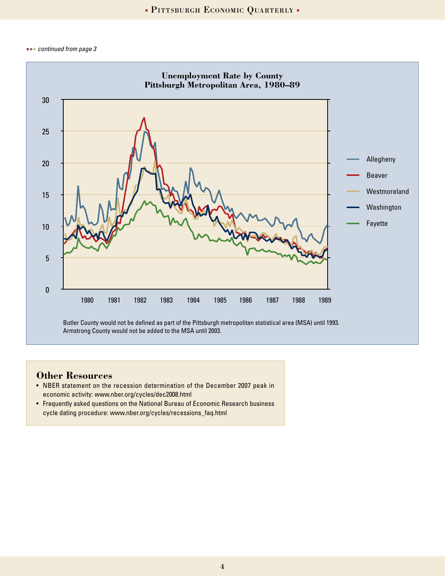*continued from page 3*



Armstrong County would not be added to the MSA until 2003.

### **Other Resources**

- NBER statement on the recession determination of the December 2007 peak in economic activity: www.nber.org/cycles/dec2008.html
- Frequently asked questions on the National Bureau of Economic Research business cycle dating procedure: www.nber.org/cycles/recessions\_faq.html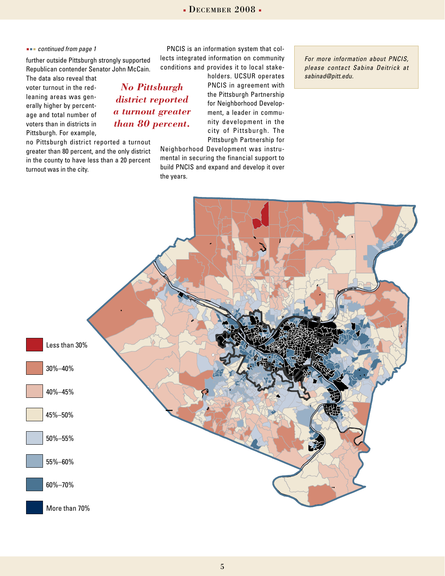5

### *continued from page 1*

further outside Pittsburgh strongly supported Republican contender Senator John McCain.

The data also reveal that voter turnout in the redleaning areas was generally higher by percentage and total number of voters than in districts in Pittsburgh. For example,

no Pittsburgh district reported a turnout greater than 80 percent, and the only district in the county to have less than a 20 percent turnout was in the city.

PNCIS is an information system that collects integrated information on community conditions and provides it to local stake-

Neighborhood Development was instrumental in securing the financial support to build PNCIS and expand and develop it over

nity development in the city of Pittsburgh. The Pittsburgh Partnership for

for Neighborhood Development, a leader in commu*district reported a turnout greater* 

the years.

*than 80 percent.*

*For more information about PNCIS, please contact Sabina Deitrick at sabinad@pitt.edu.*



holders. UCSUR operates PNCIS in agreement with the Pittsburgh Partnership *No Pittsburgh*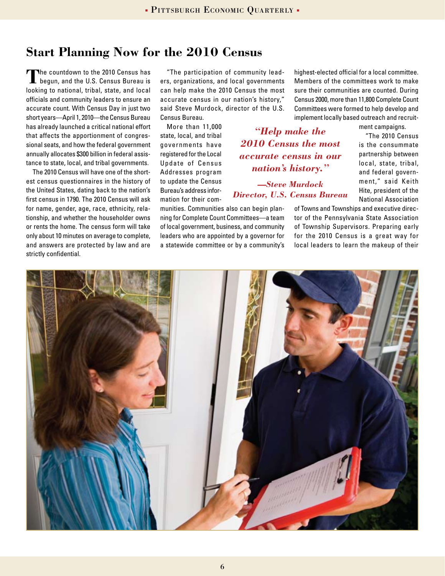# **Start Planning Now for the 2010 Census**

**T**he countdown to the 2010 Census has begun, and the U.S. Census Bureau is looking to national, tribal, state, and local officials and community leaders to ensure an accurate count. With Census Day in just two short years—April 1, 2010—the Census Bureau has already launched a critical national effort that affects the apportionment of congressional seats, and how the federal government annually allocates \$300 billion in federal assistance to state, local, and tribal governments.

The 2010 Census will have one of the shortest census questionnaires in the history of the United States, dating back to the nation's first census in 1790. The 2010 Census will ask for name, gender, age, race, ethnicity, relationship, and whether the householder owns or rents the home. The census form will take only about 10 minutes on average to complete, and answers are protected by law and are strictly confidential.

"The participation of community leaders, organizations, and local governments can help make the 2010 Census the most accurate census in our nation's history," said Steve Murdock, director of the U.S. Census Bureau.

More than 11,000 state, local, and tribal governments have registered for the Local Update of Census Addresses program to update the Census Bureau's address information for their com-

munities. Communities also can begin planning for Complete Count Committees—a team of local government, business, and community leaders who are appointed by a governor for a statewide committee or by a community's

highest-elected official for a local committee. Members of the committees work to make sure their communities are counted. During Census 2000, more than 11,800 Complete Count Committees were formed to help develop and implement locally based outreach and recruit-

*"Help make the 2010 Census the most accurate census in our nation's history."*

*—Steve Murdock Director, U.S. Census Bureau* ment campaigns.

"The 2010 Census is the consummate partnership between local, state, tribal, and federal government," said Keith Hite, president of the National Association

of Towns and Townships and executive director of the Pennsylvania State Association of Township Supervisors. Preparing early for the 2010 Census is a great way for local leaders to learn the makeup of their

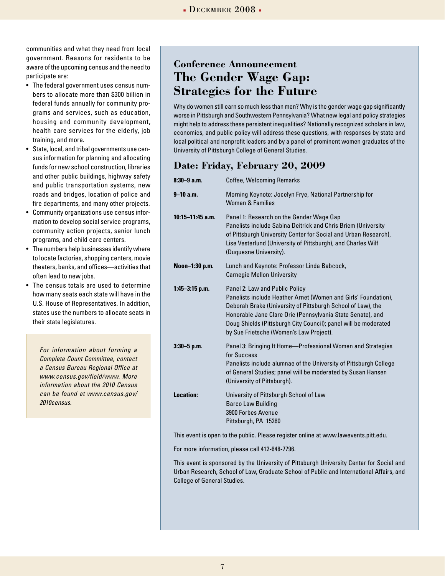communities and what they need from local government. Reasons for residents to be aware of the upcoming census and the need to participate are:

- • The federal government uses census numbers to allocate more than \$300 billion in federal funds annually for community programs and services, such as education, housing and community development, health care services for the elderly, job training, and more.
- State, local, and tribal governments use census information for planning and allocating funds for new school construction, libraries and other public buildings, highway safety and public transportation systems, new roads and bridges, location of police and fire departments, and many other projects.
- • Community organizations use census information to develop social service programs, community action projects, senior lunch programs, and child care centers.
- The numbers help businesses identify where to locate factories, shopping centers, movie theaters, banks, and offices—activities that often lead to new jobs.
- The census totals are used to determine how many seats each state will have in the U.S. House of Representatives. In addition, states use the numbers to allocate seats in their state legislatures.

*For information about forming a Complete Count Committee, contact a Census Bureau Regional Office at www.census.gov/field/www. More information about the 2010 Census can be found at www.census.gov/ 2010census.*

# **Conference Announcement The Gender Wage Gap: Strategies for the Future**

Why do women still earn so much less than men? Why is the gender wage gap significantly worse in Pittsburgh and Southwestern Pennsylvania? What new legal and policy strategies might help to address these persistent inequalities? Nationally recognized scholars in law, economics, and public policy will address these questions, with responses by state and local political and nonprofit leaders and by a panel of prominent women graduates of the University of Pittsburgh College of General Studies.

## **Date: Friday, February 20, 2009**

| $8:30-9$ a.m.        | <b>Coffee, Welcoming Remarks</b>                                                                                                                                                                                                                                                                                                            |
|----------------------|---------------------------------------------------------------------------------------------------------------------------------------------------------------------------------------------------------------------------------------------------------------------------------------------------------------------------------------------|
| $9 - 10$ a.m.        | Morning Keynote: Jocelyn Frye, National Partnership for<br><b>Women &amp; Families</b>                                                                                                                                                                                                                                                      |
| $10:15 - 11:45$ a.m. | Panel 1: Research on the Gender Wage Gap<br>Panelists include Sabina Deitrick and Chris Briem (University<br>of Pittsburgh University Center for Social and Urban Research),<br>Lise Vesterlund (University of Pittsburgh), and Charles Wilf<br>(Duquesne University).                                                                      |
| Noon-1:30 p.m.       | Lunch and Keynote: Professor Linda Babcock,<br><b>Carnegie Mellon University</b>                                                                                                                                                                                                                                                            |
| $1:45 - 3:15$ p.m.   | Panel 2: Law and Public Policy<br>Panelists include Heather Arnet (Women and Girls' Foundation),<br>Deborah Brake (University of Pittsburgh School of Law), the<br>Honorable Jane Clare Orie (Pennsylvania State Senate), and<br>Doug Shields (Pittsburgh City Council); panel will be moderated<br>by Sue Frietsche (Women's Law Project). |
| $3:30 - 5$ p.m.      | Panel 3: Bringing It Home-Professional Women and Strategies<br>for Success<br>Panelists include alumnae of the University of Pittsburgh College<br>of General Studies; panel will be moderated by Susan Hansen<br>(University of Pittsburgh).                                                                                               |
| Location:            | University of Pittsburgh School of Law<br><b>Barco Law Building</b><br>3900 Forbes Avenue<br>Pittsburgh, PA 15260                                                                                                                                                                                                                           |

This event is open to the public. Please register online at www.lawevents.pitt.edu.

For more information, please call 412-648-7796.

This event is sponsored by the University of Pittsburgh University Center for Social and Urban Research, School of Law, Graduate School of Public and International Affairs, and College of General Studies.